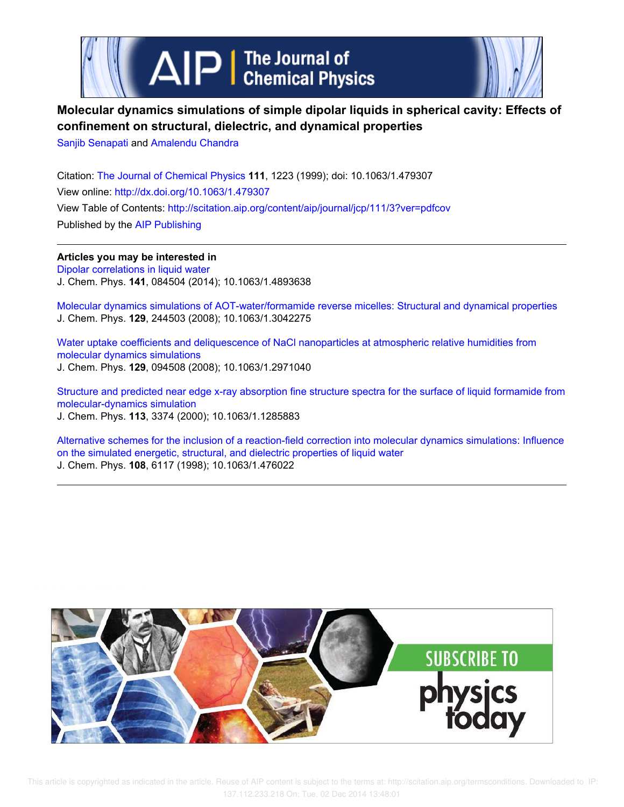



# **Molecular dynamics simulations of simple dipolar liquids in spherical cavity: Effects of confinement on structural, dielectric, and dynamical properties**

Sanjib Senapati and Amalendu Chandra

Citation: The Journal of Chemical Physics **111**, 1223 (1999); doi: 10.1063/1.479307 View online: http://dx.doi.org/10.1063/1.479307 View Table of Contents: http://scitation.aip.org/content/aip/journal/jcp/111/3?ver=pdfcov Published by the AIP Publishing

**Articles you may be interested in** Dipolar correlations in liquid water J. Chem. Phys. **141**, 084504 (2014); 10.1063/1.4893638

Molecular dynamics simulations of AOT-water/formamide reverse micelles: Structural and dynamical properties J. Chem. Phys. **129**, 244503 (2008); 10.1063/1.3042275

Water uptake coefficients and deliquescence of NaCl nanoparticles at atmospheric relative humidities from molecular dynamics simulations J. Chem. Phys. **129**, 094508 (2008); 10.1063/1.2971040

Structure and predicted near edge x-ray absorption fine structure spectra for the surface of liquid formamide from molecular-dynamics simulation J. Chem. Phys. **113**, 3374 (2000); 10.1063/1.1285883

Alternative schemes for the inclusion of a reaction-field correction into molecular dynamics simulations: Influence on the simulated energetic, structural, and dielectric properties of liquid water J. Chem. Phys. **108**, 6117 (1998); 10.1063/1.476022

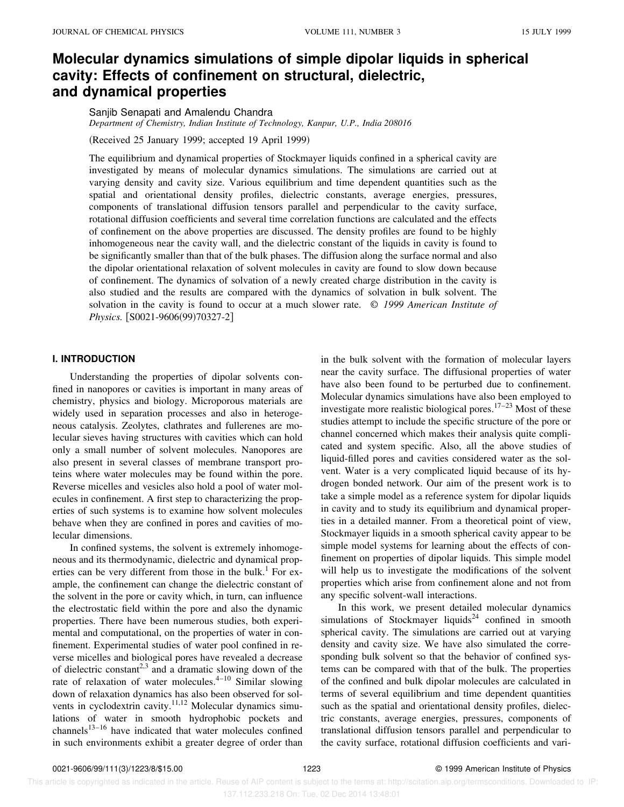## **Molecular dynamics simulations of simple dipolar liquids in spherical cavity: Effects of confinement on structural, dielectric, and dynamical properties**

Sanjib Senapati and Amalendu Chandra *Department of Chemistry, Indian Institute of Technology, Kanpur, U.P., India 208016*

(Received 25 January 1999; accepted 19 April 1999)

The equilibrium and dynamical properties of Stockmayer liquids confined in a spherical cavity are investigated by means of molecular dynamics simulations. The simulations are carried out at varying density and cavity size. Various equilibrium and time dependent quantities such as the spatial and orientational density profiles, dielectric constants, average energies, pressures, components of translational diffusion tensors parallel and perpendicular to the cavity surface, rotational diffusion coefficients and several time correlation functions are calculated and the effects of confinement on the above properties are discussed. The density profiles are found to be highly inhomogeneous near the cavity wall, and the dielectric constant of the liquids in cavity is found to be significantly smaller than that of the bulk phases. The diffusion along the surface normal and also the dipolar orientational relaxation of solvent molecules in cavity are found to slow down because of confinement. The dynamics of solvation of a newly created charge distribution in the cavity is also studied and the results are compared with the dynamics of solvation in bulk solvent. The solvation in the cavity is found to occur at a much slower rate. © *1999 American Institute of Physics.* [S0021-9606(99)70327-2]

### **I. INTRODUCTION**

Understanding the properties of dipolar solvents confined in nanopores or cavities is important in many areas of chemistry, physics and biology. Microporous materials are widely used in separation processes and also in heterogeneous catalysis. Zeolytes, clathrates and fullerenes are molecular sieves having structures with cavities which can hold only a small number of solvent molecules. Nanopores are also present in several classes of membrane transport proteins where water molecules may be found within the pore. Reverse micelles and vesicles also hold a pool of water molecules in confinement. A first step to characterizing the properties of such systems is to examine how solvent molecules behave when they are confined in pores and cavities of molecular dimensions.

In confined systems, the solvent is extremely inhomogeneous and its thermodynamic, dielectric and dynamical properties can be very different from those in the bulk.<sup>1</sup> For example, the confinement can change the dielectric constant of the solvent in the pore or cavity which, in turn, can influence the electrostatic field within the pore and also the dynamic properties. There have been numerous studies, both experimental and computational, on the properties of water in confinement. Experimental studies of water pool confined in reverse micelles and biological pores have revealed a decrease of dielectric constant<sup>2,3</sup> and a dramatic slowing down of the rate of relaxation of water molecules. $4-10$  Similar slowing down of relaxation dynamics has also been observed for solvents in cyclodextrin cavity.<sup>11,12</sup> Molecular dynamics simulations of water in smooth hydrophobic pockets and channels $^{13-16}$  have indicated that water molecules confined in such environments exhibit a greater degree of order than

in the bulk solvent with the formation of molecular layers near the cavity surface. The diffusional properties of water have also been found to be perturbed due to confinement. Molecular dynamics simulations have also been employed to investigate more realistic biological pores.<sup>17–23</sup> Most of these studies attempt to include the specific structure of the pore or channel concerned which makes their analysis quite complicated and system specific. Also, all the above studies of liquid-filled pores and cavities considered water as the solvent. Water is a very complicated liquid because of its hydrogen bonded network. Our aim of the present work is to take a simple model as a reference system for dipolar liquids in cavity and to study its equilibrium and dynamical properties in a detailed manner. From a theoretical point of view, Stockmayer liquids in a smooth spherical cavity appear to be simple model systems for learning about the effects of confinement on properties of dipolar liquids. This simple model will help us to investigate the modifications of the solvent properties which arise from confinement alone and not from any specific solvent-wall interactions.

In this work, we present detailed molecular dynamics simulations of Stockmayer liquids<sup>24</sup> confined in smooth spherical cavity. The simulations are carried out at varying density and cavity size. We have also simulated the corresponding bulk solvent so that the behavior of confined systems can be compared with that of the bulk. The properties of the confined and bulk dipolar molecules are calculated in terms of several equilibrium and time dependent quantities such as the spatial and orientational density profiles, dielectric constants, average energies, pressures, components of translational diffusion tensors parallel and perpendicular to the cavity surface, rotational diffusion coefficients and vari-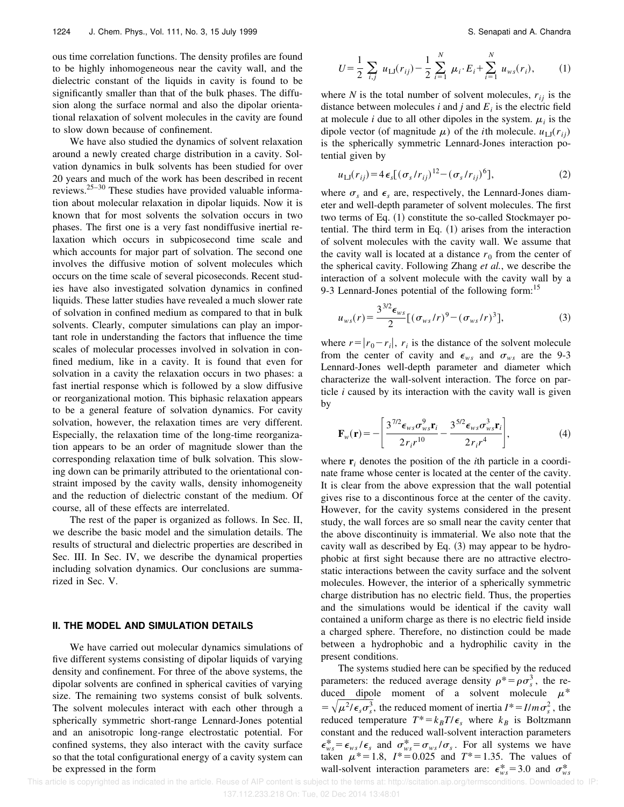ous time correlation functions. The density profiles are found to be highly inhomogeneous near the cavity wall, and the dielectric constant of the liquids in cavity is found to be significantly smaller than that of the bulk phases. The diffusion along the surface normal and also the dipolar orientational relaxation of solvent molecules in the cavity are found to slow down because of confinement.

We have also studied the dynamics of solvent relaxation around a newly created charge distribution in a cavity. Solvation dynamics in bulk solvents has been studied for over 20 years and much of the work has been described in recent reviews.25–30 These studies have provided valuable information about molecular relaxation in dipolar liquids. Now it is known that for most solvents the solvation occurs in two phases. The first one is a very fast nondiffusive inertial relaxation which occurs in subpicosecond time scale and which accounts for major part of solvation. The second one involves the diffusive motion of solvent molecules which occurs on the time scale of several picoseconds. Recent studies have also investigated solvation dynamics in confined liquids. These latter studies have revealed a much slower rate of solvation in confined medium as compared to that in bulk solvents. Clearly, computer simulations can play an important role in understanding the factors that influence the time scales of molecular processes involved in solvation in confined medium, like in a cavity. It is found that even for solvation in a cavity the relaxation occurs in two phases: a fast inertial response which is followed by a slow diffusive or reorganizational motion. This biphasic relaxation appears to be a general feature of solvation dynamics. For cavity solvation, however, the relaxation times are very different. Especially, the relaxation time of the long-time reorganization appears to be an order of magnitude slower than the corresponding relaxation time of bulk solvation. This slowing down can be primarily attributed to the orientational constraint imposed by the cavity walls, density inhomogeneity and the reduction of dielectric constant of the medium. Of course, all of these effects are interrelated.

The rest of the paper is organized as follows. In Sec. II, we describe the basic model and the simulation details. The results of structural and dielectric properties are described in Sec. III. In Sec. IV, we describe the dynamical properties including solvation dynamics. Our conclusions are summarized in Sec. V.

#### **II. THE MODEL AND SIMULATION DETAILS**

We have carried out molecular dynamics simulations of five different systems consisting of dipolar liquids of varying density and confinement. For three of the above systems, the dipolar solvents are confined in spherical cavities of varying size. The remaining two systems consist of bulk solvents. The solvent molecules interact with each other through a spherically symmetric short-range Lennard-Jones potential and an anisotropic long-range electrostatic potential. For confined systems, they also interact with the cavity surface so that the total configurational energy of a cavity system can be expressed in the form

$$
U = \frac{1}{2} \sum_{i,j} u_{\text{LJ}}(r_{ij}) - \frac{1}{2} \sum_{i=1}^{N} \mu_i \cdot E_i + \sum_{i=1}^{N} u_{ws}(r_i), \quad (1)
$$

where *N* is the total number of solvent molecules,  $r_{ij}$  is the distance between molecules  $i$  and  $j$  and  $E_i$  is the electric field at molecule *i* due to all other dipoles in the system.  $\mu_i$  is the dipole vector (of magnitude  $\mu$ ) of the *i*th molecule.  $u_{\text{LJ}}(r_{ii})$ is the spherically symmetric Lennard-Jones interaction potential given by

$$
u_{\text{LJ}}(r_{ij}) = 4 \epsilon_s [(\sigma_s/r_{ij})^{12} - (\sigma_s/r_{ij})^6], \tag{2}
$$

where  $\sigma_s$  and  $\epsilon_s$  are, respectively, the Lennard-Jones diameter and well-depth parameter of solvent molecules. The first two terms of Eq.  $(1)$  constitute the so-called Stockmayer potential. The third term in Eq.  $(1)$  arises from the interaction of solvent molecules with the cavity wall. We assume that the cavity wall is located at a distance  $r<sub>0</sub>$  from the center of the spherical cavity. Following Zhang *et al.*, we describe the interaction of a solvent molecule with the cavity wall by a 9-3 Lennard-Jones potential of the following form:<sup>15</sup>

$$
u_{ws}(r) = \frac{3^{3/2} \epsilon_{ws}}{2} [(\sigma_{ws}/r)^9 - (\sigma_{ws}/r)^3],
$$
 (3)

where  $r = |r_0 - r_i|$ ,  $r_i$  is the distance of the solvent molecule from the center of cavity and  $\epsilon_{ws}$  and  $\sigma_{ws}$  are the 9-3 Lennard-Jones well-depth parameter and diameter which characterize the wall-solvent interaction. The force on particle *i* caused by its interaction with the cavity wall is given by

$$
\mathbf{F}_{w}(\mathbf{r}) = -\left[\frac{3^{7/2}\epsilon_{ws}\sigma_{ws}^{9}\mathbf{r}_{i}}{2r_{i}r^{10}} - \frac{3^{5/2}\epsilon_{ws}\sigma_{ws}^{3}\mathbf{r}_{i}}{2r_{i}r^{4}}\right],
$$
(4)

where  $\mathbf{r}_i$  denotes the position of the *i*th particle in a coordinate frame whose center is located at the center of the cavity. It is clear from the above expression that the wall potential gives rise to a discontinous force at the center of the cavity. However, for the cavity systems considered in the present study, the wall forces are so small near the cavity center that the above discontinuity is immaterial. We also note that the cavity wall as described by Eq.  $(3)$  may appear to be hydrophobic at first sight because there are no attractive electrostatic interactions between the cavity surface and the solvent molecules. However, the interior of a spherically symmetric charge distribution has no electric field. Thus, the properties and the simulations would be identical if the cavity wall contained a uniform charge as there is no electric field inside a charged sphere. Therefore, no distinction could be made between a hydrophobic and a hydrophilic cavity in the present conditions.

The systems studied here can be specified by the reduced parameters: the reduced average density  $\rho^* = \rho \sigma_s^3$ , the reduced dipole moment of a solvent molecule  $\mu^*$  $= \sqrt{\mu^2/\epsilon_s \sigma_s^3}$ , the reduced moment of inertia  $I^* = I/m \sigma_s^2$ , the reduced temperature  $T^* = k_B T / \epsilon_s$  where  $k_B$  is Boltzmann constant and the reduced wall-solvent interaction parameters  $\epsilon_{ws}^* = \epsilon_{ws} / \epsilon_s$  and  $\sigma_{ws}^* = \sigma_{ws} / \sigma_s$ . For all systems we have taken  $\mu^* = 1.8$ ,  $I^* = 0.025$  and  $T^* = 1.35$ . The values of wall-solvent interaction parameters are:  $\epsilon_{ws}^* = 3.0$  and  $\sigma_{ws}^*$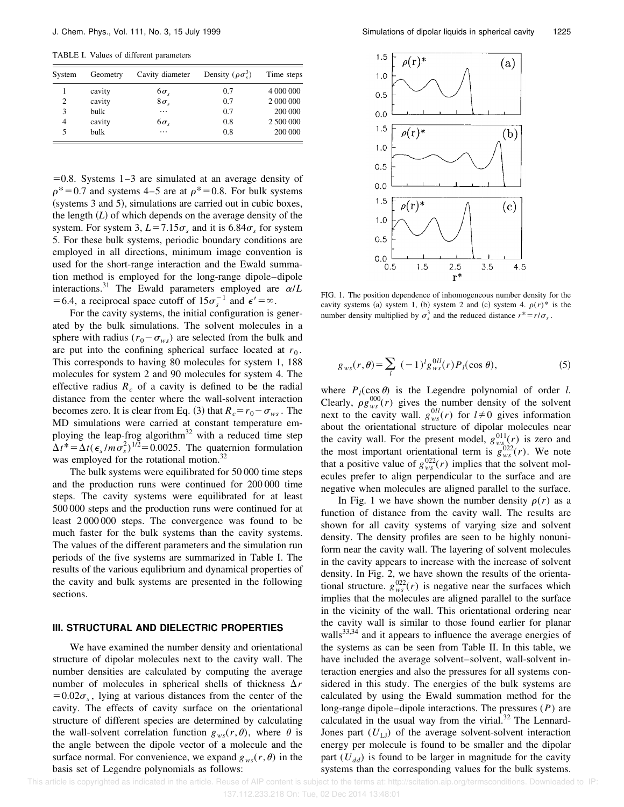TABLE I. Values of different parameters

| System | Geometry | Cavity diameter | Density ( $\rho \sigma_s^3$ ) | Time steps |
|--------|----------|-----------------|-------------------------------|------------|
|        | cavity   | $6\sigma_{s}$   | 0.7                           | 4 000 000  |
| 2      | cavity   | $8\sigma$       | 0.7                           | 2 000 000  |
| 3      | bulk     | .               | 0.7                           | 200 000    |
| 4      | cavity   | $6\sigma_{s}$   | 0.8                           | 2 500 000  |
| 5      | bulk     | .               | 0.8                           | 200 000    |

 $=0.8$ . Systems 1–3 are simulated at an average density of  $\rho^*$  = 0.7 and systems 4–5 are at  $\rho^*$  = 0.8. For bulk systems  $(s$ ystems 3 and 5), simulations are carried out in cubic boxes, the length  $(L)$  of which depends on the average density of the system. For system 3,  $L=7.15\sigma_s$  and it is 6.84 $\sigma_s$  for system 5. For these bulk systems, periodic boundary conditions are employed in all directions, minimum image convention is used for the short-range interaction and the Ewald summation method is employed for the long-range dipole–dipole interactions.<sup>31</sup> The Ewald parameters employed are  $\alpha/L$ =6.4, a reciprocal space cutoff of  $15\sigma_s^{-1}$  and  $\epsilon' = \infty$ .

For the cavity systems, the initial configuration is generated by the bulk simulations. The solvent molecules in a sphere with radius ( $r_0 - \sigma_{ws}$ ) are selected from the bulk and are put into the confining spherical surface located at  $r_0$ . This corresponds to having 80 molecules for system 1, 188 molecules for system 2 and 90 molecules for system 4. The effective radius  $R_c$  of a cavity is defined to be the radial distance from the center where the wall-solvent interaction becomes zero. It is clear from Eq. (3) that  $R_c = r_0 - \sigma_{ws}$ . The MD simulations were carried at constant temperature employing the leap-frog algorithm<sup>32</sup> with a reduced time step  $\Delta t^* = \Delta t (\epsilon_s / m \sigma_s^2)^{1/2} = 0.0025$ . The quaternion formulation was employed for the rotational motion.<sup>32</sup>

The bulk systems were equilibrated for 50 000 time steps and the production runs were continued for 200 000 time steps. The cavity systems were equilibrated for at least 500 000 steps and the production runs were continued for at least 2 000 000 steps. The convergence was found to be much faster for the bulk systems than the cavity systems. The values of the different parameters and the simulation run periods of the five systems are summarized in Table I. The results of the various equlibrium and dynamical properties of the cavity and bulk systems are presented in the following sections.

#### **III. STRUCTURAL AND DIELECTRIC PROPERTIES**

We have examined the number density and orientational structure of dipolar molecules next to the cavity wall. The number densities are calculated by computing the average number of molecules in spherical shells of thickness  $\Delta r$  $=0.02\sigma_s$ , lying at various distances from the center of the cavity. The effects of cavity surface on the orientational structure of different species are determined by calculating the wall-solvent correlation function  $g_{ws}(r,\theta)$ , where  $\theta$  is the angle between the dipole vector of a molecule and the surface normal. For convenience, we expand  $g_{ws}(r,\theta)$  in the basis set of Legendre polynomials as follows:



FIG. 1. The position dependence of inhomogeneous number density for the cavity systems (a) system 1, (b) system 2 and (c) system 4.  $\rho(r)^*$  is the number density multiplied by  $\sigma_s^3$  and the reduced distance  $r^* = r/\sigma_s$ .

$$
g_{ws}(r,\theta) = \sum_{l} (-1)^{l} g_{ws}^{0ll}(r) P_{l}(\cos \theta), \tag{5}
$$

where  $P_l(\cos \theta)$  is the Legendre polynomial of order *l*. Clearly,  $\rho g_{ws}^{000}(r)$  gives the number density of the solvent next to the cavity wall.  $g_{ws}^{0ll}(r)$  for  $l \neq 0$  gives information about the orientational structure of dipolar molecules near the cavity wall. For the present model,  $g_{ws}^{011}(r)$  is zero and the most important orientational term is  $g_{ws}^{022}(r)$ . We note that a positive value of  $g_{ws}^{022}(r)$  implies that the solvent molecules prefer to align perpendicular to the surface and are negative when molecules are aligned parallel to the surface.

In Fig. 1 we have shown the number density  $\rho(r)$  as a function of distance from the cavity wall. The results are shown for all cavity systems of varying size and solvent density. The density profiles are seen to be highly nonuniform near the cavity wall. The layering of solvent molecules in the cavity appears to increase with the increase of solvent density. In Fig. 2, we have shown the results of the orientational structure.  $g_{ws}^{022}(r)$  is negative near the surfaces which implies that the molecules are aligned parallel to the surface in the vicinity of the wall. This orientational ordering near the cavity wall is similar to those found earlier for planar walls $33,34$  and it appears to influence the average energies of the systems as can be seen from Table II. In this table, we have included the average solvent–solvent, wall-solvent interaction energies and also the pressures for all systems considered in this study. The energies of the bulk systems are calculated by using the Ewald summation method for the long-range dipole–dipole interactions. The pressures (*P*) are calculated in the usual way from the virial. $32$  The Lennard-Jones part (*U*LJ) of the average solvent-solvent interaction energy per molecule is found to be smaller and the dipolar part  $(U_{dd})$  is found to be larger in magnitude for the cavity systems than the corresponding values for the bulk systems.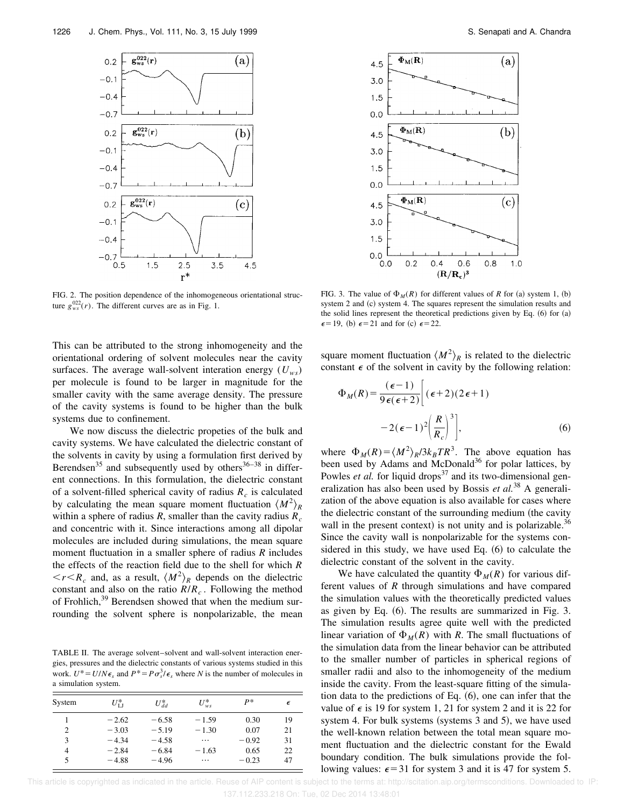

FIG. 2. The position dependence of the inhomogeneous orientational structure  $g_{ws}^{022}(r)$ . The different curves are as in Fig. 1.

This can be attributed to the strong inhomogeneity and the orientational ordering of solvent molecules near the cavity surfaces. The average wall-solvent interation energy  $(U_{ws})$ per molecule is found to be larger in magnitude for the smaller cavity with the same average density. The pressure of the cavity systems is found to be higher than the bulk systems due to confinement.

We now discuss the dielectric propeties of the bulk and cavity systems. We have calculated the dielectric constant of the solvents in cavity by using a formulation first derived by Berendsen<sup>35</sup> and subsequently used by others<sup>36–38</sup> in different connections. In this formulation, the dielectric constant of a solvent-filled spherical cavity of radius *R<sup>c</sup>* is calculated by calculating the mean square moment fluctuation  $\langle M^2 \rangle_R$ within a sphere of radius *R*, smaller than the cavity radius  $R_c$ and concentric with it. Since interactions among all dipolar molecules are included during simulations, the mean square moment fluctuation in a smaller sphere of radius *R* includes the effects of the reaction field due to the shell for which *R*  $\langle r \rangle R_c$  and, as a result,  $\langle M^2 \rangle_R$  depends on the dielectric constant and also on the ratio  $R/R_c$ . Following the method of Frohlich,<sup>39</sup> Berendsen showed that when the medium surrounding the solvent sphere is nonpolarizable, the mean

TABLE II. The average solvent–solvent and wall-solvent interaction energies, pressures and the dielectric constants of various systems studied in this work.  $U^* = U/N \epsilon_s$  and  $P^* = P \sigma_s^3 / \epsilon_s$  where *N* is the number of molecules in a simulation system.

| System | $U_{1J}^*$ | $U_{dd}^*$ | $U_{ws}^*$ | p*      | $\epsilon$ |
|--------|------------|------------|------------|---------|------------|
|        | $-2.62$    | $-6.58$    | $-1.59$    | 0.30    | 19         |
| 2      | $-3.03$    | $-5.19$    | $-1.30$    | 0.07    | 21         |
| 3      | $-4.34$    | $-4.58$    | $\cdots$   | $-0.92$ | 31         |
| 4      | $-2.84$    | $-6.84$    | $-1.63$    | 0.65    | 22         |
| 5      | $-4.88$    | $-4.96$    | $\cdots$   | $-0.23$ | 47         |
|        |            |            |            |         |            |



FIG. 3. The value of  $\Phi_M(R)$  for different values of *R* for (a) system 1, (b) system 2 and (c) system 4. The squares represent the simulation results and the solid lines represent the theoretical predictions given by Eq.  $(6)$  for  $(a)$  $\epsilon$ =19, (b)  $\epsilon$ =21 and for (c)  $\epsilon$ =22.

square moment fluctuation  $\langle M^2 \rangle_R$  is related to the dielectric constant  $\epsilon$  of the solvent in cavity by the following relation:

$$
\Phi_M(R) = \frac{(\epsilon - 1)}{9\epsilon(\epsilon + 2)} \bigg[ (\epsilon + 2)(2\epsilon + 1) - 2(\epsilon - 1)^2 \bigg( \frac{R}{R_c} \bigg)^3 \bigg],
$$
\n(6)

where  $\Phi_M(R) = \langle M^2 \rangle_R/3k_BTR^3$ . The above equation has been used by Adams and McDonald<sup>36</sup> for polar lattices, by Powles *et al.* for liquid drops<sup>37</sup> and its two-dimensional generalization has also been used by Bossis *et al.*<sup>38</sup> A generalization of the above equation is also available for cases where the dielectric constant of the surrounding medium (the cavity wall in the present context) is not unity and is polarizable.<sup>36</sup> Since the cavity wall is nonpolarizable for the systems considered in this study, we have used Eq.  $(6)$  to calculate the dielectric constant of the solvent in the cavity.

We have calculated the quantity  $\Phi_M(R)$  for various different values of *R* through simulations and have compared the simulation values with the theoretically predicted values as given by Eq.  $(6)$ . The results are summarized in Fig. 3. The simulation results agree quite well with the predicted linear variation of  $\Phi_M(R)$  with *R*. The small fluctuations of the simulation data from the linear behavior can be attributed to the smaller number of particles in spherical regions of smaller radii and also to the inhomogeneity of the medium inside the cavity. From the least-square fitting of the simulation data to the predictions of Eq.  $(6)$ , one can infer that the value of  $\epsilon$  is 19 for system 1, 21 for system 2 and it is 22 for system 4. For bulk systems (systems  $3$  and  $5$ ), we have used the well-known relation between the total mean square moment fluctuation and the dielectric constant for the Ewald boundary condition. The bulk simulations provide the following values:  $\epsilon$ =31 for system 3 and it is 47 for system 5.

 This article is copyrighted as indicated in the article. Reuse of AIP content is subject to the terms at: http://scitation.aip.org/termsconditions. Downloaded to IP: 137.112.233.218 On: Tue, 02 Dec 2014 13:48:01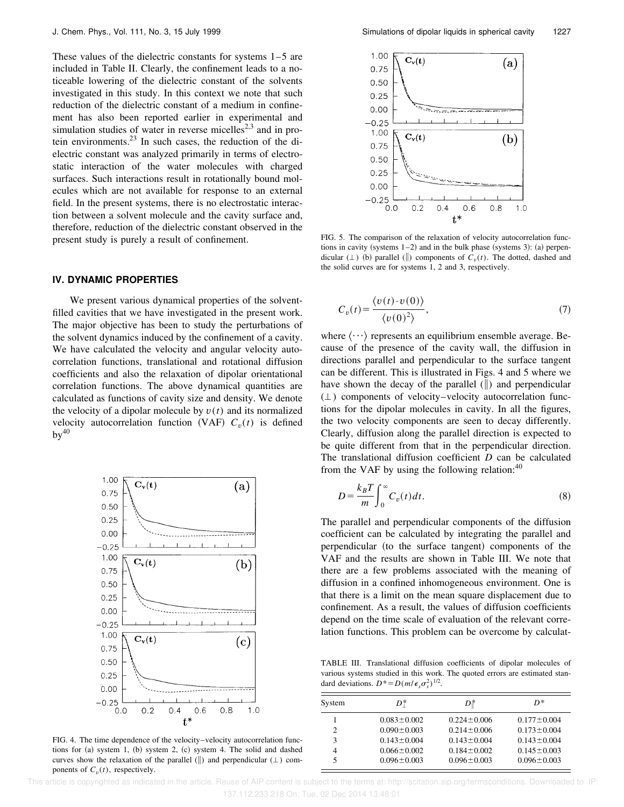These values of the dielectric constants for systems 1–5 are included in Table II. Clearly, the confinement leads to a noticeable lowering of the dielectric constant of the solvents investigated in this study. In this context we note that such reduction of the dielectric constant of a medium in confinement has also been reported earlier in experimental and simulation studies of water in reverse micelles<sup>2,3</sup> and in protein environments.<sup>23</sup> In such cases, the reduction of the dielectric constant was analyzed primarily in terms of electrostatic interaction of the water molecules with charged surfaces. Such interactions result in rotationally bound molecules which are not available for response to an external field. In the present systems, there is no electrostatic interaction between a solvent molecule and the cavity surface and, therefore, reduction of the dielectric constant observed in the present study is purely a result of confinement.

#### **IV. DYNAMIC PROPERTIES**

We present various dynamical properties of the solventfilled cavities that we have investigated in the present work. The major objective has been to study the perturbations of the solvent dynamics induced by the confinement of a cavity. We have calculated the velocity and angular velocity autocorrelation functions, translational and rotational diffusion coefficients and also the relaxation of dipolar orientational correlation functions. The above dynamical quantities are calculated as functions of cavity size and density. We denote the velocity of a dipolar molecule by  $v(t)$  and its normalized velocity autocorrelation function (VAF)  $C_v(t)$  is defined  $bv^{40}$ 



FIG. 4. The time dependence of the velocity–velocity autocorrelation functions for (a) system 1, (b) system 2, (c) system 4. The solid and dashed curves show the relaxation of the parallel ( $\parallel$ ) and perpendicular ( $\perp$ ) components of  $C_v(t)$ , respectively.



FIG. 5. The comparison of the relaxation of velocity autocorrelation functions in cavity (systems  $1-2$ ) and in the bulk phase (systems 3): (a) perpendicular ( $\perp$ ) (b) parallel (||) components of  $C_v(t)$ . The dotted, dashed and the solid curves are for systems 1, 2 and 3, respectively.

$$
C_v(t) = \frac{\langle v(t) \cdot v(0) \rangle}{\langle v(0)^2 \rangle},\tag{7}
$$

where  $\langle \cdots \rangle$  represents an equilibrium ensemble average. Because of the presence of the cavity wall, the diffusion in directions parallel and perpendicular to the surface tangent can be different. This is illustrated in Figs. 4 and 5 where we have shown the decay of the parallel  $(\parallel)$  and perpendicular  $(\perp)$  components of velocity–velocity autocorrelation functions for the dipolar molecules in cavity. In all the figures, the two velocity components are seen to decay differently. Clearly, diffusion along the parallel direction is expected to be quite different from that in the perpendicular direction. The translational diffusion coefficient *D* can be calculated from the VAF by using the following relation: $40$ 

$$
D = \frac{k_B T}{m} \int_0^\infty C_v(t) dt.
$$
 (8)

The parallel and perpendicular components of the diffusion coefficient can be calculated by integrating the parallel and perpendicular (to the surface tangent) components of the VAF and the results are shown in Table III. We note that there are a few problems associated with the meaning of diffusion in a confined inhomogeneous environment. One is that there is a limit on the mean square displacement due to confinement. As a result, the values of diffusion coefficients depend on the time scale of evaluation of the relevant correlation functions. This problem can be overcome by calculat-

TABLE III. Translational diffusion coefficients of dipolar molecules of various systems studied in this work. The quoted errors are estimated standard deviations.  $D^* = D(m/\epsilon_s \sigma_s^2)^{1/2}$ .

| System         | $D^*$             | $D^*_\parallel$   | $D^*$             |
|----------------|-------------------|-------------------|-------------------|
|                | $0.083 \pm 0.002$ | $0.224 \pm 0.006$ | $0.177 \pm 0.004$ |
| $\overline{c}$ | $0.090 \pm 0.003$ | $0.214 \pm 0.006$ | $0.173 \pm 0.004$ |
| 3              | $0.143 \pm 0.004$ | $0.143 \pm 0.004$ | $0.143 \pm 0.004$ |
| 4              | $0.066 \pm 0.002$ | $0.184 \pm 0.002$ | $0.145 \pm 0.003$ |
| 5              | $0.096 \pm 0.003$ | $0.096 \pm 0.003$ | $0.096 \pm 0.003$ |

 This article is copyrighted as indicated in the article. Reuse of AIP content is subject to the terms at: http://scitation.aip.org/termsconditions. Downloaded to IP: 137.112.233.218 On: Tue, 02 Dec 2014 13:48:01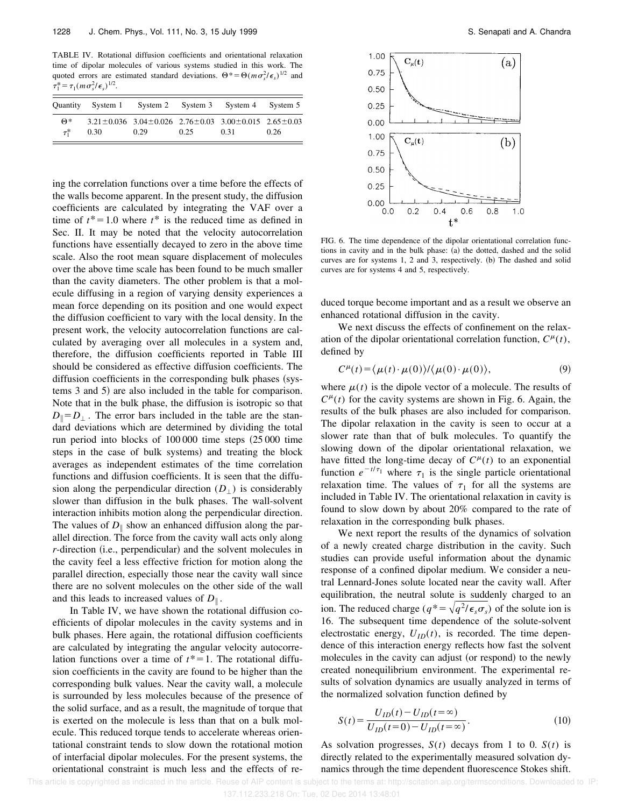TABLE IV. Rotational diffusion coefficients and orientational relaxation time of dipolar molecules of various systems studied in this work. The quoted errors are estimated standard deviations.  $\Theta^* = \Theta(m\sigma_s^2/\epsilon_s)^{1/2}$  and  $\tau_1^* = \tau_1 (m \sigma_s^2 / \epsilon_s)^{1/2}.$ 

| <b>Quantity</b>        | System 1 System 2 System 3 System 4 System 5 |                                                                                            |      |      |      |
|------------------------|----------------------------------------------|--------------------------------------------------------------------------------------------|------|------|------|
| $\Theta^*$<br>$\tau^*$ | 0.30                                         | $3.21 \pm 0.036$ $3.04 \pm 0.026$ $2.76 \pm 0.03$ $3.00 \pm 0.015$ $2.65 \pm 0.03$<br>0.29 | 0.25 | 0.31 | 0.26 |

ing the correlation functions over a time before the effects of the walls become apparent. In the present study, the diffusion coefficients are calculated by integrating the VAF over a time of  $t^*=1.0$  where  $t^*$  is the reduced time as defined in Sec. II. It may be noted that the velocity autocorrelation functions have essentially decayed to zero in the above time scale. Also the root mean square displacement of molecules over the above time scale has been found to be much smaller than the cavity diameters. The other problem is that a molecule diffusing in a region of varying density experiences a mean force depending on its position and one would expect the diffusion coefficient to vary with the local density. In the present work, the velocity autocorrelation functions are calculated by averaging over all molecules in a system and, therefore, the diffusion coefficients reported in Table III should be considered as effective diffusion coefficients. The diffusion coefficients in the corresponding bulk phases (systems 3 and 5) are also included in the table for comparison. Note that in the bulk phase, the diffusion is isotropic so that  $D_{\parallel}=D_{\perp}$ . The error bars included in the table are the standard deviations which are determined by dividing the total run period into blocks of  $100000$  time steps  $(25000)$  time steps in the case of bulk systems) and treating the block averages as independent estimates of the time correlation functions and diffusion coefficients. It is seen that the diffusion along the perpendicular direction  $(D_{\perp})$  is considerably slower than diffusion in the bulk phases. The wall-solvent interaction inhibits motion along the perpendicular direction. The values of  $D_{\parallel}$  show an enhanced diffusion along the parallel direction. The force from the cavity wall acts only along *r*-direction (i.e., perpendicular) and the solvent molecules in the cavity feel a less effective friction for motion along the parallel direction, especially those near the cavity wall since there are no solvent molecules on the other side of the wall and this leads to increased values of  $D_{\parallel}$ .

In Table IV, we have shown the rotational diffusion coefficients of dipolar molecules in the cavity systems and in bulk phases. Here again, the rotational diffusion coefficients are calculated by integrating the angular velocity autocorrelation functions over a time of  $t^*=1$ . The rotational diffusion coefficients in the cavity are found to be higher than the corresponding bulk values. Near the cavity wall, a molecule is surrounded by less molecules because of the presence of the solid surface, and as a result, the magnitude of torque that is exerted on the molecule is less than that on a bulk molecule. This reduced torque tends to accelerate whereas orientational constraint tends to slow down the rotational motion of interfacial dipolar molecules. For the present systems, the orientational constraint is much less and the effects of re-



FIG. 6. The time dependence of the dipolar orientational correlation functions in cavity and in the bulk phase: (a) the dotted, dashed and the solid curves are for systems 1, 2 and 3, respectively. (b) The dashed and solid curves are for systems 4 and 5, respectively.

duced torque become important and as a result we observe an enhanced rotational diffusion in the cavity.

We next discuss the effects of confinement on the relaxation of the dipolar orientational correlation function,  $C^{\mu}(t)$ , defined by

$$
C^{\mu}(t) = \langle \mu(t) \cdot \mu(0) \rangle / \langle \mu(0) \cdot \mu(0) \rangle, \tag{9}
$$

where  $\mu(t)$  is the dipole vector of a molecule. The results of  $C<sup>\mu</sup>(t)$  for the cavity systems are shown in Fig. 6. Again, the results of the bulk phases are also included for comparison. The dipolar relaxation in the cavity is seen to occur at a slower rate than that of bulk molecules. To quantify the slowing down of the dipolar orientational relaxation, we have fitted the long-time decay of  $C^{\mu}(t)$  to an exponential function  $e^{-t/\tau_1}$  where  $\tau_1$  is the single particle orientational relaxation time. The values of  $\tau_1$  for all the systems are included in Table IV. The orientational relaxation in cavity is found to slow down by about 20% compared to the rate of relaxation in the corresponding bulk phases.

We next report the results of the dynamics of solvation of a newly created charge distribution in the cavity. Such studies can provide useful information about the dynamic response of a confined dipolar medium. We consider a neutral Lennard-Jones solute located near the cavity wall. After equilibration, the neutral solute is suddenly charged to an ion. The reduced charge  $(q^* = \sqrt{q^2/\epsilon_s \sigma_s})$  of the solute ion is 16. The subsequent time dependence of the solute-solvent electrostatic energy,  $U_{ID}(t)$ , is recorded. The time dependence of this interaction energy reflects how fast the solvent molecules in the cavity can adjust (or respond) to the newly created nonequilibrium environment. The experimental results of solvation dynamics are usually analyzed in terms of the normalized solvation function defined by

$$
S(t) = \frac{U_{ID}(t) - U_{ID}(t = \infty)}{U_{ID}(t = 0) - U_{ID}(t = \infty)}.
$$
\n(10)

As solvation progresses,  $S(t)$  decays from 1 to 0.  $S(t)$  is directly related to the experimentally measured solvation dynamics through the time dependent fluorescence Stokes shift.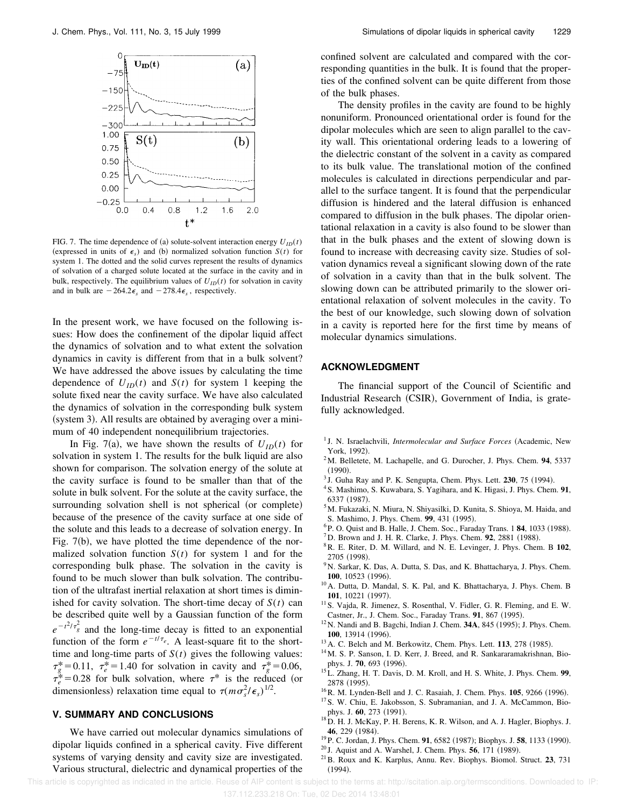

FIG. 7. The time dependence of (a) solute-solvent interaction energy  $U_{ID}(t)$ (expressed in units of  $\epsilon_s$ ) and (b) normalized solvation function  $S(t)$  for system 1. The dotted and the solid curves represent the results of dynamics of solvation of a charged solute located at the surface in the cavity and in bulk, respectively. The equilibrium values of  $U_{ID}(t)$  for solvation in cavity and in bulk are  $-264.2\epsilon_s$  and  $-278.4\epsilon_s$ , respectively.

In the present work, we have focused on the following issues: How does the confinement of the dipolar liquid affect the dynamics of solvation and to what extent the solvation dynamics in cavity is different from that in a bulk solvent? We have addressed the above issues by calculating the time dependence of  $U_{ID}(t)$  and  $S(t)$  for system 1 keeping the solute fixed near the cavity surface. We have also calculated the dynamics of solvation in the corresponding bulk system  $(s$ ystem 3). All results are obtained by averaging over a minimum of 40 independent nonequilibrium trajectories.

In Fig. 7(a), we have shown the results of  $U_{ID}(t)$  for solvation in system 1. The results for the bulk liquid are also shown for comparison. The solvation energy of the solute at the cavity surface is found to be smaller than that of the solute in bulk solvent. For the solute at the cavity surface, the surrounding solvation shell is not spherical (or complete) because of the presence of the cavity surface at one side of the solute and this leads to a decrease of solvation energy. In Fig.  $7(b)$ , we have plotted the time dependence of the normalized solvation function  $S(t)$  for system 1 and for the corresponding bulk phase. The solvation in the cavity is found to be much slower than bulk solvation. The contribution of the ultrafast inertial relaxation at short times is diminished for cavity solvation. The short-time decay of  $S(t)$  can be described quite well by a Gaussian function of the form  $e^{-t^2/\tau_g^2}$  and the long-time decay is fitted to an exponential function of the form  $e^{-t/\tau_e}$ . A least-square fit to the shorttime and long-time parts of  $S(t)$  gives the following values:  $\tau_g^* = 0.11$ ,  $\tau_e^* = 1.40$  for solvation in cavity and  $\tau_g^* = 0.06$ ,  $\tau_e^* = 0.28$  for bulk solvation, where  $\tau^*$  is the reduced (or dimensionless) relaxation time equal to  $\tau(m\sigma_s^2/\epsilon_s)^{1/2}$ .

#### **V. SUMMARY AND CONCLUSIONS**

We have carried out molecular dynamics simulations of dipolar liquids confined in a spherical cavity. Five different systems of varying density and cavity size are investigated. Various structural, dielectric and dynamical properties of the confined solvent are calculated and compared with the corresponding quantities in the bulk. It is found that the properties of the confined solvent can be quite different from those of the bulk phases.

The density profiles in the cavity are found to be highly nonuniform. Pronounced orientational order is found for the dipolar molecules which are seen to align parallel to the cavity wall. This orientational ordering leads to a lowering of the dielectric constant of the solvent in a cavity as compared to its bulk value. The translational motion of the confined molecules is calculated in directions perpendicular and parallel to the surface tangent. It is found that the perpendicular diffusion is hindered and the lateral diffusion is enhanced compared to diffusion in the bulk phases. The dipolar orientational relaxation in a cavity is also found to be slower than that in the bulk phases and the extent of slowing down is found to increase with decreasing cavity size. Studies of solvation dynamics reveal a significant slowing down of the rate of solvation in a cavity than that in the bulk solvent. The slowing down can be attributed primarily to the slower orientational relaxation of solvent molecules in the cavity. To the best of our knowledge, such slowing down of solvation in a cavity is reported here for the first time by means of molecular dynamics simulations.

#### **ACKNOWLEDGMENT**

The financial support of the Council of Scientific and Industrial Research (CSIR), Government of India, is gratefully acknowledged.

- <sup>1</sup> J. N. Israelachvili, *Intermolecular and Surface Forces* (Academic, New York, 1992).
- <sup>2</sup>M. Belletete, M. Lachapelle, and G. Durocher, J. Phys. Chem. **94**, 5337  $(1990).$
- <sup>3</sup> J. Guha Ray and P. K. Sengupta, Chem. Phys. Lett. 230, 75 (1994).
- <sup>4</sup>S. Mashimo, S. Kuwabara, S. Yagihara, and K. Higasi, J. Phys. Chem. **91**, 6337 (1987).
- <sup>5</sup>M. Fukazaki, N. Miura, N. Shiyasilki, D. Kunita, S. Shioya, M. Haida, and S. Mashimo, J. Phys. Chem. 99, 431 (1995).
- ${}^{6}$ P. O. Quist and B. Halle, J. Chem. Soc., Faraday Trans. 1 84, 1033 (1988).
- ${}^{7}$ D. Brown and J. H. R. Clarke, J. Phys. Chem. **92**, 2881 (1988).
- <sup>8</sup>R. E. Riter, D. M. Willard, and N. E. Levinger, J. Phys. Chem. B **102**, 2705 (1998).
- <sup>9</sup>N. Sarkar, K. Das, A. Dutta, S. Das, and K. Bhattacharya, J. Phys. Chem. 100, 10523 (1996).
- <sup>10</sup>A. Dutta, D. Mandal, S. K. Pal, and K. Bhattacharya, J. Phys. Chem. B **101**, 10221 (1997).
- <sup>11</sup> S. Vajda, R. Jimenez, S. Rosenthal, V. Fidler, G. R. Fleming, and E. W. Castner, Jr., J. Chem. Soc., Faraday Trans. 91, 867 (1995).
- <sup>12</sup>N. Nandi and B. Bagchi, Indian J. Chem. 34A, 845 (1995); J. Phys. Chem. **100**, 13914 (1996).
- $13A$ . C. Belch and M. Berkowitz, Chem. Phys. Lett. **113**, 278  $(1985)$ .
- <sup>14</sup>M. S. P. Sanson, I. D. Kerr, J. Breed, and R. Sankararamakrishnan, Biophys. J. 70, 693 (1996).
- <sup>15</sup>L. Zhang, H. T. Davis, D. M. Kroll, and H. S. White, J. Phys. Chem. **99**, 2878 (1995).
- <sup>16</sup>R. M. Lynden-Bell and J. C. Rasaiah, J. Chem. Phys. **105**, 9266 (1996).
- <sup>17</sup>S. W. Chiu, E. Jakobsson, S. Subramanian, and J. A. McCammon, Biophys. J. 60, 273 (1991).
- <sup>18</sup>D. H. J. McKay, P. H. Berens, K. R. Wilson, and A. J. Hagler, Biophys. J. 46, 229 (1984).
- <sup>19</sup> P. C. Jordan, J. Phys. Chem. **91**, 6582 (1987); Biophys. J. **58**, 1133 (1990).
- <sup>20</sup> J. Aquist and A. Warshel, J. Chem. Phys. **56**, 171 (1989).
- <sup>21</sup>B. Roux and K. Karplus, Annu. Rev. Biophys. Biomol. Struct. **23**, 731  $(1994)$ .

This article is copyrighted as indicated in the article. Reuse of AIP content is subject to the terms at: http://scitation.aip.org/termsconditions. Downloaded to IP: